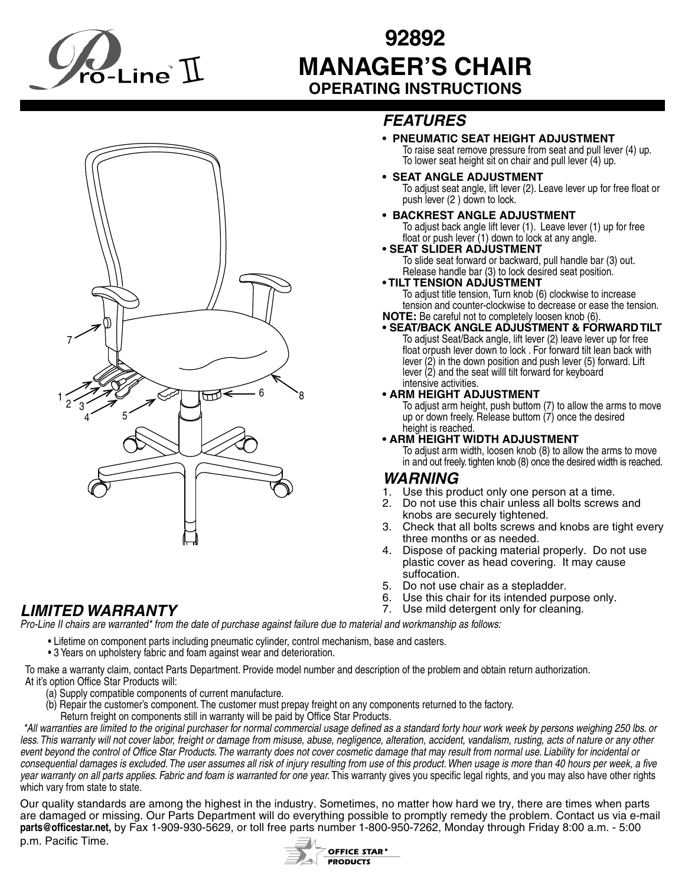

# **92892 MANAGER'S CHAIR OPERATING INSTRUCTIONS**



# *FEATURES*

#### **• PNEUMATIC SEAT HEIGHT ADJUSTMENT**

To raise seat remove pressure from seat and pull lever (4) up. To lower seat height sit on chair and pull lever (4) up.

**• SEAT ANGLE ADJUSTMENT**

To adjust seat angle, lift lever (2). Leave lever up for free float or push lever (2 ) down to lock.

## **• BACKREST ANGLE ADJUSTMENT**

To adjust back angle lift lever (1). Leave lever (1) up for free float or push lever (1) down to lock at any angle.

# • **SEAT SLIDER ADJUSTMENT**<br>To slide seat forward or backward, pull handle bar (3) out.

Release handle bar (3) to lock desired seat position.

#### **• TILT TENSION ADJUSTMENT**

 To adjust title tension, Turn knob (6) clockwise to increase tension and counter-clockwise to decrease or ease the tension. **NOTE:** Be careful not to completely loosen knob (6).

• **SEAT/BACK ANGLE ADJUSTMENT & FORWARD TILT**<br>To adjust Seat/Back angle, lift lever (2) leave lever up for free float orpush lever down to lock . For forward tilt lean back with lever  $(2)$  in the down position and push lever  $(5)$  forward. Lift lever  $(2)$  and the seat will tilt forward for keyboard intensive activities.

#### **• ARM HEIGHT ADJUSTMENT**

 To adjust arm height, push buttom (7) to allow the arms to move up or down freely. Release buttom (7) once the desired height is reached.

#### **• ARM HEIGHT WIDTH ADJUSTMENT**

 To adjust arm width, loosen knob (8) to allow the arms to move in and out freely. tighten knob (8) once the desired width is reached.

## *WARNING*

- 1. Use this product only one person at a time.
- 2. Do not use this chair unless all bolts screws and knobs are securely tightened.
- 3. Check that all bolts screws and knobs are tight every three months or as needed.
- 4. Dispose of packing material properly. Do not use plastic cover as head covering. It may cause suffocation.
- 5. Do not use chair as a stepladder.
- 6. Use this chair for its intended purpose only.
- *LIMITED WARRANTY* 7. Use mild detergent only for cleaning.

### *Pro-Line II chairs are warranted\* from the date of purchase against failure due to material and workmanship as follows:*

- Lifetime on component parts including pneumatic cylinder, control mechanism, base and casters.
	- 3 Years on upholstery fabric and foam against wear and deterioration.

To make a warranty claim, contact Parts Department. Provide model number and description of the problem and obtain return authorization. At it's option Office Star Products will:

- (a) Supply compatible components of current manufacture.
- (b) Repair the customer's component. The customer must prepay freight on any components returned to the factory. Return freight on components still in warranty will be paid by Office Star Products.

*\*All warranties are limited to the original purchaser for normal commercial usage defined as a standard forty hour work week by persons weighing 250 lbs. or*  less. This warranty will not cover labor, freight or damage from misuse, abuse, negligence, alteration, accident, vandalism, rusting, acts of nature or any other *event beyond the control of Office Star Products. The warranty does not cover cosmetic damage that may result from normal use. Liability for incidental or consequential damages is excluded. The user assumes all risk of injury resulting from use of this product. When usage is more than 40 hours per week, a five*  year warranty on all parts applies. Fabric and foam is warranted for one year. This warranty gives you specific legal rights, and you may also have other rights which vary from state to state.

Our quality standards are among the highest in the industry. Sometimes, no matter how hard we try, there are times when parts are damaged or missing. Our Parts Department will do everything possible to promptly remedy the problem. Contact us via e-mail **parts@officestar.net,** by Fax 1-909-930-5629, or toll free parts number 1-800-950-7262, Monday through Friday 8:00 a.m. - 5:00 p.m. Pacific Time.